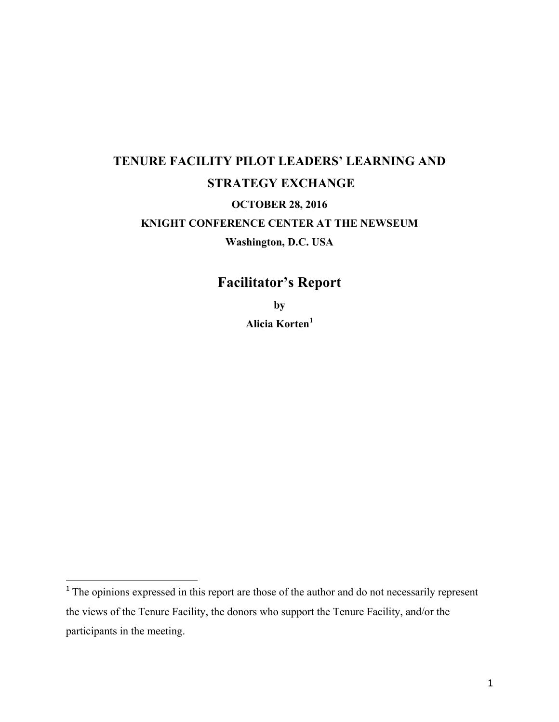# **TENURE FACILITY PILOT LEADERS' LEARNING AND STRATEGY EXCHANGE OCTOBER 28, 2016 KNIGHT CONFERENCE CENTER AT THE NEWSEUM Washington, D.C. USA**

# **Facilitator's Report**

**by Alicia Korten<sup>1</sup>**

 

 $1$ <sup>1</sup> The opinions expressed in this report are those of the author and do not necessarily represent the views of the Tenure Facility, the donors who support the Tenure Facility, and/or the participants in the meeting.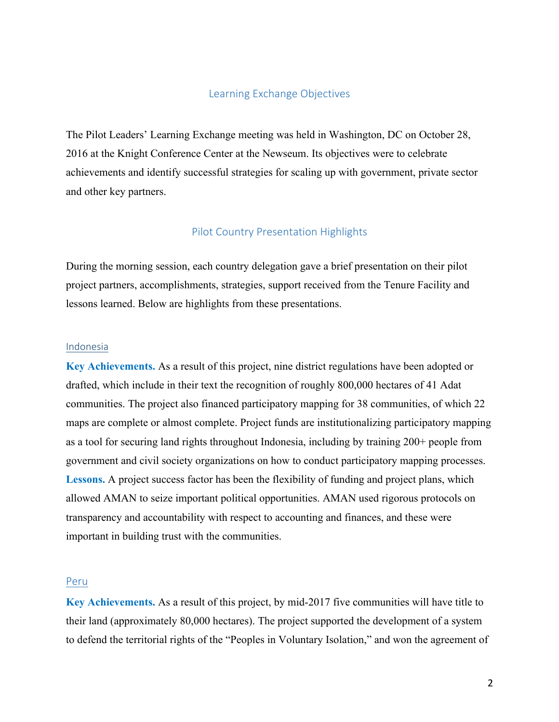#### Learning Exchange Objectives

The Pilot Leaders' Learning Exchange meeting was held in Washington, DC on October 28, 2016 at the Knight Conference Center at the Newseum. Its objectives were to celebrate achievements and identify successful strategies for scaling up with government, private sector and other key partners.

# Pilot Country Presentation Highlights

During the morning session, each country delegation gave a brief presentation on their pilot project partners, accomplishments, strategies, support received from the Tenure Facility and lessons learned. Below are highlights from these presentations.

#### Indonesia

**Key Achievements.** As a result of this project, nine district regulations have been adopted or drafted, which include in their text the recognition of roughly 800,000 hectares of 41 Adat communities. The project also financed participatory mapping for 38 communities, of which 22 maps are complete or almost complete. Project funds are institutionalizing participatory mapping as a tool for securing land rights throughout Indonesia, including by training 200+ people from government and civil society organizations on how to conduct participatory mapping processes. **Lessons.** A project success factor has been the flexibility of funding and project plans, which allowed AMAN to seize important political opportunities. AMAN used rigorous protocols on transparency and accountability with respect to accounting and finances, and these were important in building trust with the communities.

# Peru

**Key Achievements.** As a result of this project, by mid-2017 five communities will have title to their land (approximately 80,000 hectares). The project supported the development of a system to defend the territorial rights of the "Peoples in Voluntary Isolation," and won the agreement of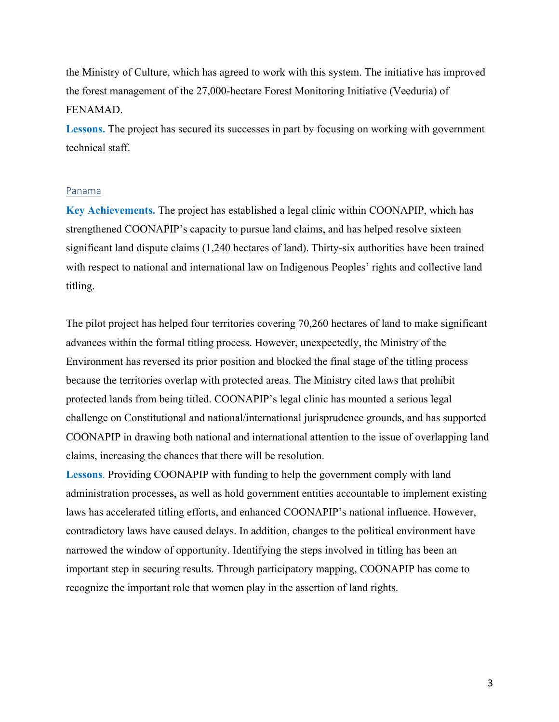the Ministry of Culture, which has agreed to work with this system. The initiative has improved the forest management of the 27,000-hectare Forest Monitoring Initiative (Veeduria) of FENAMAD.

Lessons. The project has secured its successes in part by focusing on working with government technical staff.

#### Panama

**Key Achievements.** The project has established a legal clinic within COONAPIP, which has strengthened COONAPIP's capacity to pursue land claims, and has helped resolve sixteen significant land dispute claims (1,240 hectares of land). Thirty-six authorities have been trained with respect to national and international law on Indigenous Peoples' rights and collective land titling.

The pilot project has helped four territories covering 70,260 hectares of land to make significant advances within the formal titling process. However, unexpectedly, the Ministry of the Environment has reversed its prior position and blocked the final stage of the titling process because the territories overlap with protected areas. The Ministry cited laws that prohibit protected lands from being titled. COONAPIP's legal clinic has mounted a serious legal challenge on Constitutional and national/international jurisprudence grounds, and has supported COONAPIP in drawing both national and international attention to the issue of overlapping land claims, increasing the chances that there will be resolution.

**Lessons**. Providing COONAPIP with funding to help the government comply with land administration processes, as well as hold government entities accountable to implement existing laws has accelerated titling efforts, and enhanced COONAPIP's national influence. However, contradictory laws have caused delays. In addition, changes to the political environment have narrowed the window of opportunity. Identifying the steps involved in titling has been an important step in securing results. Through participatory mapping, COONAPIP has come to recognize the important role that women play in the assertion of land rights.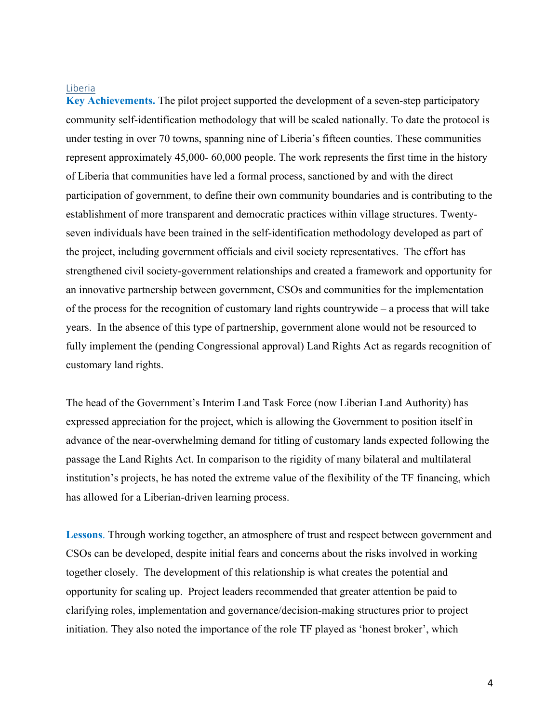#### Liberia

**Key Achievements.** The pilot project supported the development of a seven-step participatory community self-identification methodology that will be scaled nationally. To date the protocol is under testing in over 70 towns, spanning nine of Liberia's fifteen counties. These communities represent approximately 45,000- 60,000 people. The work represents the first time in the history of Liberia that communities have led a formal process, sanctioned by and with the direct participation of government, to define their own community boundaries and is contributing to the establishment of more transparent and democratic practices within village structures. Twentyseven individuals have been trained in the self-identification methodology developed as part of the project, including government officials and civil society representatives. The effort has strengthened civil society-government relationships and created a framework and opportunity for an innovative partnership between government, CSOs and communities for the implementation of the process for the recognition of customary land rights countrywide – a process that will take years. In the absence of this type of partnership, government alone would not be resourced to fully implement the (pending Congressional approval) Land Rights Act as regards recognition of customary land rights.

The head of the Government's Interim Land Task Force (now Liberian Land Authority) has expressed appreciation for the project, which is allowing the Government to position itself in advance of the near-overwhelming demand for titling of customary lands expected following the passage the Land Rights Act. In comparison to the rigidity of many bilateral and multilateral institution's projects, he has noted the extreme value of the flexibility of the TF financing, which has allowed for a Liberian-driven learning process.

**Lessons**. Through working together, an atmosphere of trust and respect between government and CSOs can be developed, despite initial fears and concerns about the risks involved in working together closely. The development of this relationship is what creates the potential and opportunity for scaling up. Project leaders recommended that greater attention be paid to clarifying roles, implementation and governance/decision-making structures prior to project initiation. They also noted the importance of the role TF played as 'honest broker', which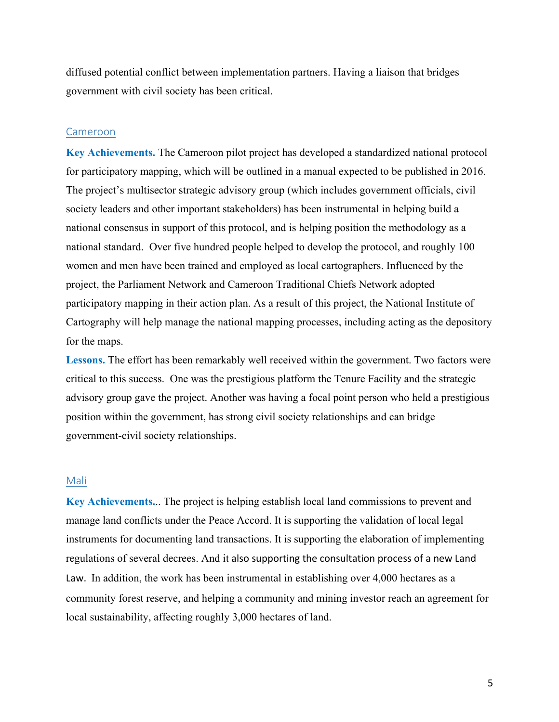diffused potential conflict between implementation partners. Having a liaison that bridges government with civil society has been critical.

#### Cameroon

**Key Achievements.** The Cameroon pilot project has developed a standardized national protocol for participatory mapping, which will be outlined in a manual expected to be published in 2016. The project's multisector strategic advisory group (which includes government officials, civil society leaders and other important stakeholders) has been instrumental in helping build a national consensus in support of this protocol, and is helping position the methodology as a national standard. Over five hundred people helped to develop the protocol, and roughly 100 women and men have been trained and employed as local cartographers. Influenced by the project, the Parliament Network and Cameroon Traditional Chiefs Network adopted participatory mapping in their action plan. As a result of this project, the National Institute of Cartography will help manage the national mapping processes, including acting as the depository for the maps.

**Lessons.** The effort has been remarkably well received within the government. Two factors were critical to this success. One was the prestigious platform the Tenure Facility and the strategic advisory group gave the project. Another was having a focal point person who held a prestigious position within the government, has strong civil society relationships and can bridge government-civil society relationships.

# Mali

**Key Achievements.**.. The project is helping establish local land commissions to prevent and manage land conflicts under the Peace Accord. It is supporting the validation of local legal instruments for documenting land transactions. It is supporting the elaboration of implementing regulations of several decrees. And it also supporting the consultation process of a new Land Law. In addition, the work has been instrumental in establishing over  $4,000$  hectares as a community forest reserve, and helping a community and mining investor reach an agreement for local sustainability, affecting roughly 3,000 hectares of land.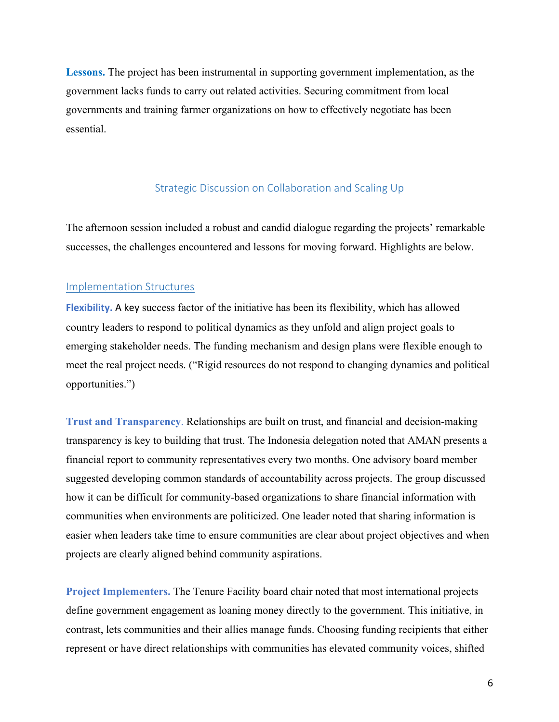**Lessons.** The project has been instrumental in supporting government implementation, as the government lacks funds to carry out related activities. Securing commitment from local governments and training farmer organizations on how to effectively negotiate has been essential.

# Strategic Discussion on Collaboration and Scaling Up

The afternoon session included a robust and candid dialogue regarding the projects' remarkable successes, the challenges encountered and lessons for moving forward. Highlights are below.

#### Implementation Structures

**Flexibility.** A key success factor of the initiative has been its flexibility, which has allowed country leaders to respond to political dynamics as they unfold and align project goals to emerging stakeholder needs. The funding mechanism and design plans were flexible enough to meet the real project needs. ("Rigid resources do not respond to changing dynamics and political opportunities.")

**Trust and Transparency**. Relationships are built on trust, and financial and decision-making transparency is key to building that trust. The Indonesia delegation noted that AMAN presents a financial report to community representatives every two months. One advisory board member suggested developing common standards of accountability across projects. The group discussed how it can be difficult for community-based organizations to share financial information with communities when environments are politicized. One leader noted that sharing information is easier when leaders take time to ensure communities are clear about project objectives and when projects are clearly aligned behind community aspirations.

**Project Implementers.** The Tenure Facility board chair noted that most international projects define government engagement as loaning money directly to the government. This initiative, in contrast, lets communities and their allies manage funds. Choosing funding recipients that either represent or have direct relationships with communities has elevated community voices, shifted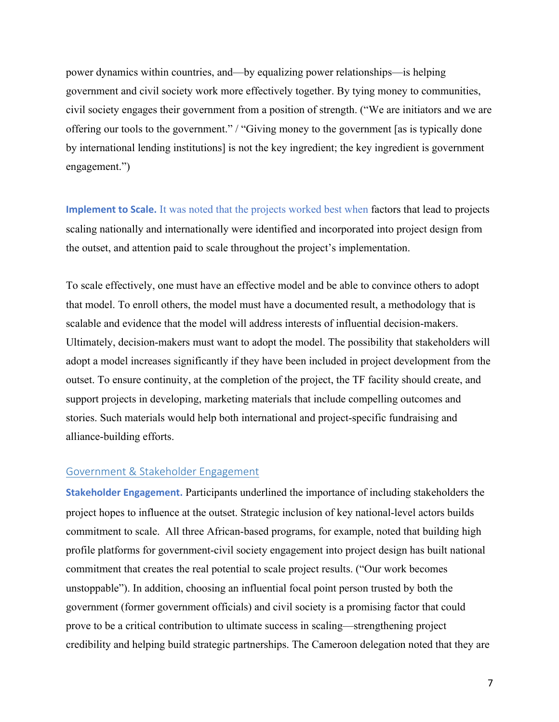power dynamics within countries, and—by equalizing power relationships—is helping government and civil society work more effectively together. By tying money to communities, civil society engages their government from a position of strength. ("We are initiators and we are offering our tools to the government." / "Giving money to the government [as is typically done by international lending institutions] is not the key ingredient; the key ingredient is government engagement.")

**Implement to Scale.** It was noted that the projects worked best when factors that lead to projects scaling nationally and internationally were identified and incorporated into project design from the outset, and attention paid to scale throughout the project's implementation.

To scale effectively, one must have an effective model and be able to convince others to adopt that model. To enroll others, the model must have a documented result, a methodology that is scalable and evidence that the model will address interests of influential decision-makers. Ultimately, decision-makers must want to adopt the model. The possibility that stakeholders will adopt a model increases significantly if they have been included in project development from the outset. To ensure continuity, at the completion of the project, the TF facility should create, and support projects in developing, marketing materials that include compelling outcomes and stories. Such materials would help both international and project-specific fundraising and alliance-building efforts.

# Government & Stakeholder Engagement

**Stakeholder Engagement.** Participants underlined the importance of including stakeholders the project hopes to influence at the outset. Strategic inclusion of key national-level actors builds commitment to scale. All three African-based programs, for example, noted that building high profile platforms for government-civil society engagement into project design has built national commitment that creates the real potential to scale project results. ("Our work becomes unstoppable"). In addition, choosing an influential focal point person trusted by both the government (former government officials) and civil society is a promising factor that could prove to be a critical contribution to ultimate success in scaling—strengthening project credibility and helping build strategic partnerships. The Cameroon delegation noted that they are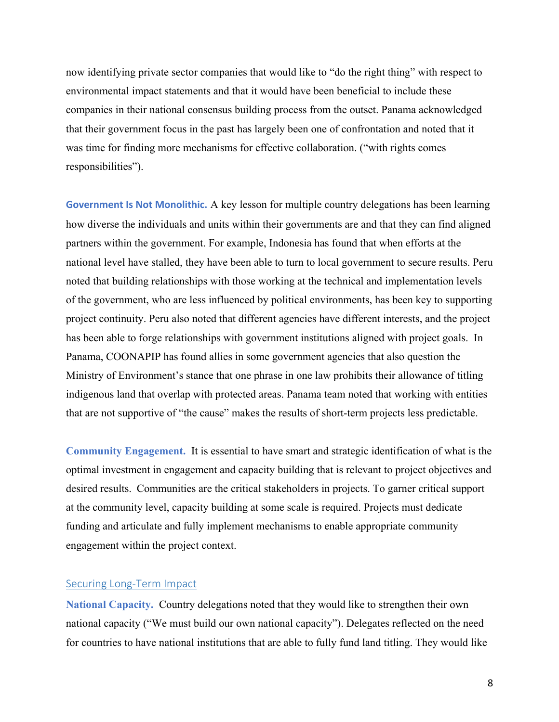now identifying private sector companies that would like to "do the right thing" with respect to environmental impact statements and that it would have been beneficial to include these companies in their national consensus building process from the outset. Panama acknowledged that their government focus in the past has largely been one of confrontation and noted that it was time for finding more mechanisms for effective collaboration. ("with rights comes responsibilities").

**Government Is Not Monolithic.** A key lesson for multiple country delegations has been learning how diverse the individuals and units within their governments are and that they can find aligned partners within the government. For example, Indonesia has found that when efforts at the national level have stalled, they have been able to turn to local government to secure results. Peru noted that building relationships with those working at the technical and implementation levels of the government, who are less influenced by political environments, has been key to supporting project continuity. Peru also noted that different agencies have different interests, and the project has been able to forge relationships with government institutions aligned with project goals. In Panama, COONAPIP has found allies in some government agencies that also question the Ministry of Environment's stance that one phrase in one law prohibits their allowance of titling indigenous land that overlap with protected areas. Panama team noted that working with entities that are not supportive of "the cause" makes the results of short-term projects less predictable.

**Community Engagement.** It is essential to have smart and strategic identification of what is the optimal investment in engagement and capacity building that is relevant to project objectives and desired results. Communities are the critical stakeholders in projects. To garner critical support at the community level, capacity building at some scale is required. Projects must dedicate funding and articulate and fully implement mechanisms to enable appropriate community engagement within the project context.

# Securing Long-Term Impact

**National Capacity.** Country delegations noted that they would like to strengthen their own national capacity ("We must build our own national capacity"). Delegates reflected on the need for countries to have national institutions that are able to fully fund land titling. They would like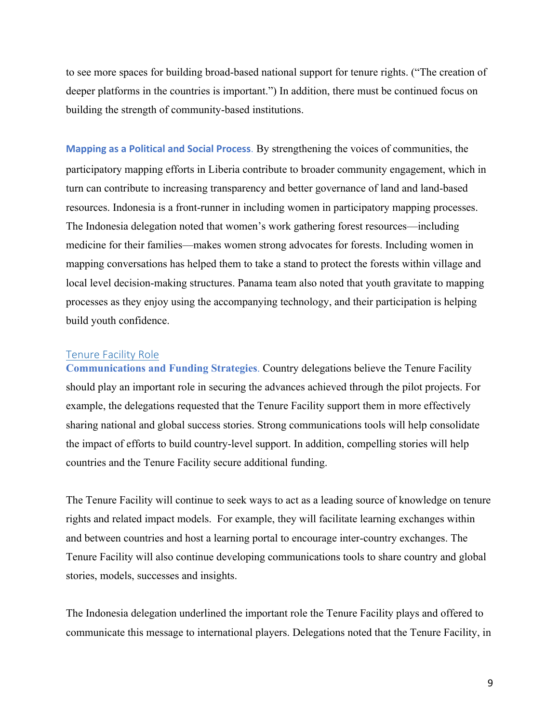to see more spaces for building broad-based national support for tenure rights. ("The creation of deeper platforms in the countries is important.") In addition, there must be continued focus on building the strength of community-based institutions.

**Mapping as a Political and Social Process**. By strengthening the voices of communities, the participatory mapping efforts in Liberia contribute to broader community engagement, which in turn can contribute to increasing transparency and better governance of land and land-based resources. Indonesia is a front-runner in including women in participatory mapping processes. The Indonesia delegation noted that women's work gathering forest resources—including medicine for their families—makes women strong advocates for forests. Including women in mapping conversations has helped them to take a stand to protect the forests within village and local level decision-making structures. Panama team also noted that youth gravitate to mapping processes as they enjoy using the accompanying technology, and their participation is helping build youth confidence.

#### Tenure Facility Role

**Communications and Funding Strategies**. Country delegations believe the Tenure Facility should play an important role in securing the advances achieved through the pilot projects. For example, the delegations requested that the Tenure Facility support them in more effectively sharing national and global success stories. Strong communications tools will help consolidate the impact of efforts to build country-level support. In addition, compelling stories will help countries and the Tenure Facility secure additional funding.

The Tenure Facility will continue to seek ways to act as a leading source of knowledge on tenure rights and related impact models. For example, they will facilitate learning exchanges within and between countries and host a learning portal to encourage inter-country exchanges. The Tenure Facility will also continue developing communications tools to share country and global stories, models, successes and insights.

The Indonesia delegation underlined the important role the Tenure Facility plays and offered to communicate this message to international players. Delegations noted that the Tenure Facility, in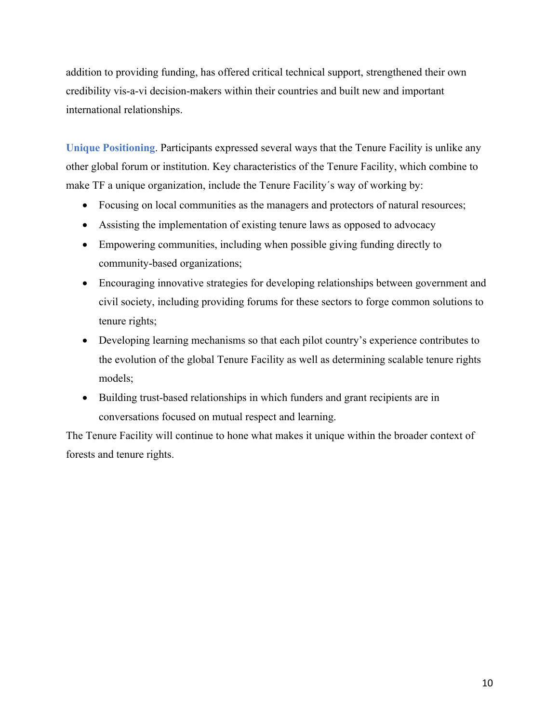addition to providing funding, has offered critical technical support, strengthened their own credibility vis-a-vi decision-makers within their countries and built new and important international relationships.

**Unique Positioning**. Participants expressed several ways that the Tenure Facility is unlike any other global forum or institution. Key characteristics of the Tenure Facility, which combine to make TF a unique organization, include the Tenure Facility´s way of working by:

- Focusing on local communities as the managers and protectors of natural resources;
- Assisting the implementation of existing tenure laws as opposed to advocacy
- Empowering communities, including when possible giving funding directly to community-based organizations;
- Encouraging innovative strategies for developing relationships between government and civil society, including providing forums for these sectors to forge common solutions to tenure rights;
- Developing learning mechanisms so that each pilot country's experience contributes to the evolution of the global Tenure Facility as well as determining scalable tenure rights models;
- Building trust-based relationships in which funders and grant recipients are in conversations focused on mutual respect and learning.

The Tenure Facility will continue to hone what makes it unique within the broader context of forests and tenure rights.